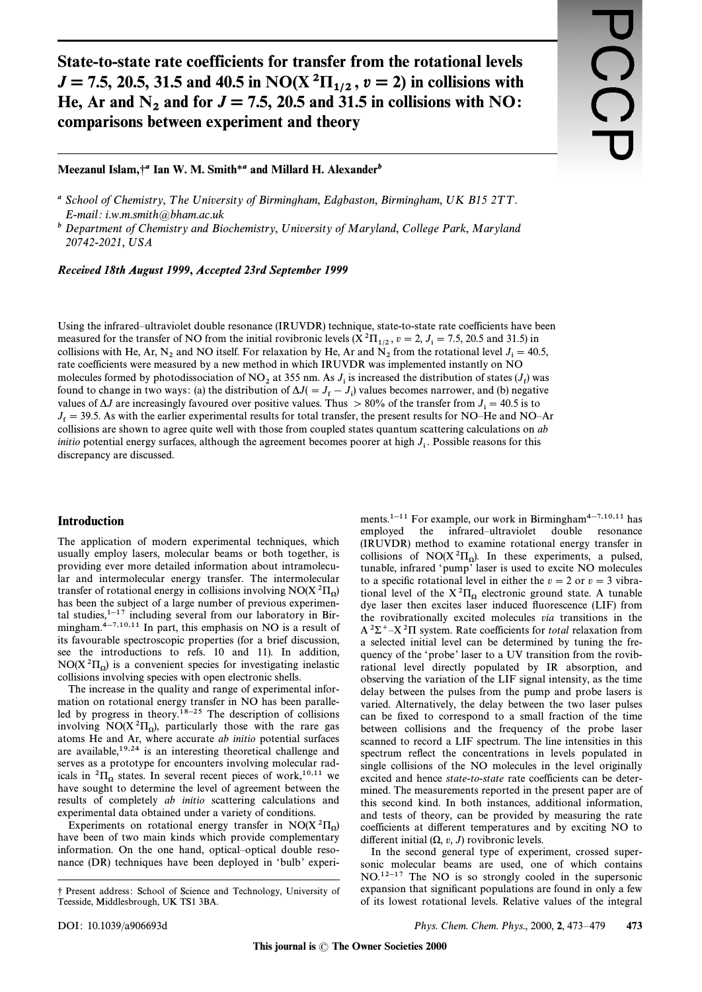State-to-state rate coefficients for transfer from the rotational levels *J* = 7.5, 20.5, 31.5 and 40.5 in NO(X<sup>2</sup> $\Pi_{1/2}$ ,  $v=2$ ) in collisions with He, Ar and  $N_2$  and for  $J = 7.5$ , 20.5 and 31.5 in collisions with NO: comparisons between experiment and theory

# Meezanul Islam,<sup>+</sup><sup>*a*</sup> Ian W. M. Smith<sup>\*</sup>*a* and Millard H. Alexander<sup>*b*</sup>

#### *Recei***v***ed 18th August 1999*, *Accepted 23rd September 1999*

Using the infrared–ultraviolet double resonance (IRUVDR) technique, state-to-state rate coefficients have been measured for the transfer of NO from the initial rovibronic levels  $(X^2\Pi_{1/2}, v=2, J_i = 7.5, 20.5$  and 31.5) in nothing the Latitude Line of  $\Gamma$  and  $\Gamma$  and  $\Gamma$  and  $\Gamma$  and  $\Gamma$  and  $\Gamma$  and  $\Gamma$  and  $\Gamma$  and  $\Gamma$  and inclusions with He, Ar, N<sub>2</sub> and NO itself. For relaxation by He, Ar and N<sub>2</sub> from the rotational level J<sub>i</sub> = 40.5,<br>collisions with He, Ar, N<sub>2</sub> and NO itself. For relaxation by He, Ar and N<sub>2</sub> from the rotational level Figure 2.1 The coefficients were measured by a new method in which IRUVDR was implemented instantly on NO molecules formed by photodissociation of NO<sub>2</sub> at 355 nm. As  $J_i$  is increased the distribution of states  $(J_f)$  was<br>found to change in two ways (a) the distribution of A  $J_i$   $J_i$   $J_i$  values becomes norways and (b) possi found to change in two ways: (a) the distribution of  $\Delta J(=J_f-J_i)$  values becomes narrower, and (b) negative found values of  $\Delta J$  are increasingly favoured over positive values. Thus  $> 80\%$  of the transfer from  $J_i = 40.5$  is to values of 25 die increasingly arounce over positive values. Thus  $\ge$  00% of the transfer from  $s_1 = 0.5$  is to  $J_f = 39.5$ . As with the earlier experimental results for total transfer, the present results for NO<sup>—</sup>He and collisions are shown to agree quite well with those from coupled states quantum scattering calculations on ab *initio* potential energy surfaces, although the agreement becomes poorer at high  $J_i$ . Possible reasons for this discussory are discussed discrepancy are discussed.

#### Introduction

The application of modern experimental techniques, which usually employ lasers, molecular beams or both together, is providing ever more detailed information about intramolecular and intermolecular energy transfer. The intermolecular transfer of rotational energy in collisions involving  $NO(X^2\Pi_{\Omega})$ <br>has been the subject of a large number of provious experiment has been the subject of a large number of previous experimental studies, $1-17$  including several from our laboratory in Birmingham. $4-7,10,11$  In part, this emphasis on NO is a result of its favourable spectroscopic properties (for a brief discussion, see the introductions to refs. 10 and 11). In addition,  $NO(X^{2}\Pi_{\Omega})$  is a convenient species for investigating inelastic collisions involving species with open electronic shalls collisions involving species with open electronic shells.

The increase in the quality and range of experimental information on rotational energy transfer in NO has been paralleled by progress in theory.<sup>18–25</sup> The description of collisions involving  $NO(X^2\Pi_{\Omega})$ , particularly those with the rare gas atoms He and Ar, where accurate ab initio potential surfaces are available,19,24 is an interesting theoretical challenge and serves as a prototype for encounters involving molecular radicals in <sup>2</sup> $\Pi_{\Omega}$  states. In several recent pieces of work, <sup>10,11</sup> we have sought to determine the level of agreement between the results of completely ab initio scattering calculations and experimental data obtained under a variety of conditions.

Experiments on rotational energy transfer in  $NO(X^2\Pi_{\Omega})$ <br>we been of two main kinds which provide complementary have been of two main kinds which provide complementary information. On the one hand, optical–optical double resonance (DR) techniques have been deployed in 'bulb' experiments.<sup>1-11</sup> For example, our work in Birmingham<sup>4-7,10,11</sup> has employed the infrared–ultraviolet double resonance (IRUVDR) method to examine rotational energy transfer in collisions of  $NO(X^2\Pi_0)$ . In these experiments, a pulsed, tunable infrared 'numn' laser is used to excite NO molecules tunable, infrared 'pump' laser is used to excite NO molecules to a specific rotational level in either the  $v=2$  or  $v=3$  vibrational level of the  $X^{2}\Pi_{\Omega}$  electronic ground state. A tunable dye laser then excites laser induced fluorescence (LIF) from the rovibrationally excited molecules via transitions in the  $A^2\Sigma^+$ –X<sup>2</sup> $\Pi$  system. Rate coefficients for total relaxation from a selected initial level can be determined by tuning the frequency of the 'probe' laser to a UV transition from the rovibrational level directly populated by IR absorption, and observing the variation of the LIF signal intensity, as the time delay between the pulses from the pump and probe lasers is varied. Alternatively, the delay between the two laser pulses can be fixed to correspond to a small fraction of the time between collisions and the frequency of the probe laser scanned to record a LIF spectrum. The line intensities in this spectrum reflect the concentrations in levels populated in single collisions of the NO molecules in the level originally excited and hence state-to-state rate coefficients can be determined. The measurements reported in the present paper are of this second kind. In both instances, additional information, and tests of theory, can be provided by measuring the rate coefficients at di†erent temperatures and by exciting NO to different initial  $(\Omega, v, J)$  rovibronic levels.

In the second general type of experiment, crossed supersonic molecular beams are used, one of which contains  $NO.<sup>12-17</sup>$  The NO is so strongly cooled in the supersonic expansion that significant populations are found in only a few of its lowest rotational levels. Relative values of the integral

<sup>&</sup>lt;sup>a</sup> School of Chemistry, The University of Birmingham, Edgbaston, Birmingham, UK B15 2TT.  $E$ -mail: i.w.m.smith@bham.ac.uk

 $<sup>b</sup>$  Department of Chemistry and Biochemistry, University of Maryland, College Park, Maryland</sup> 20742-2021, USA

<sup>¤</sup> Present address : School of Science and Technology, University of Teesside, Middlesbrough, UK TS1 3BA.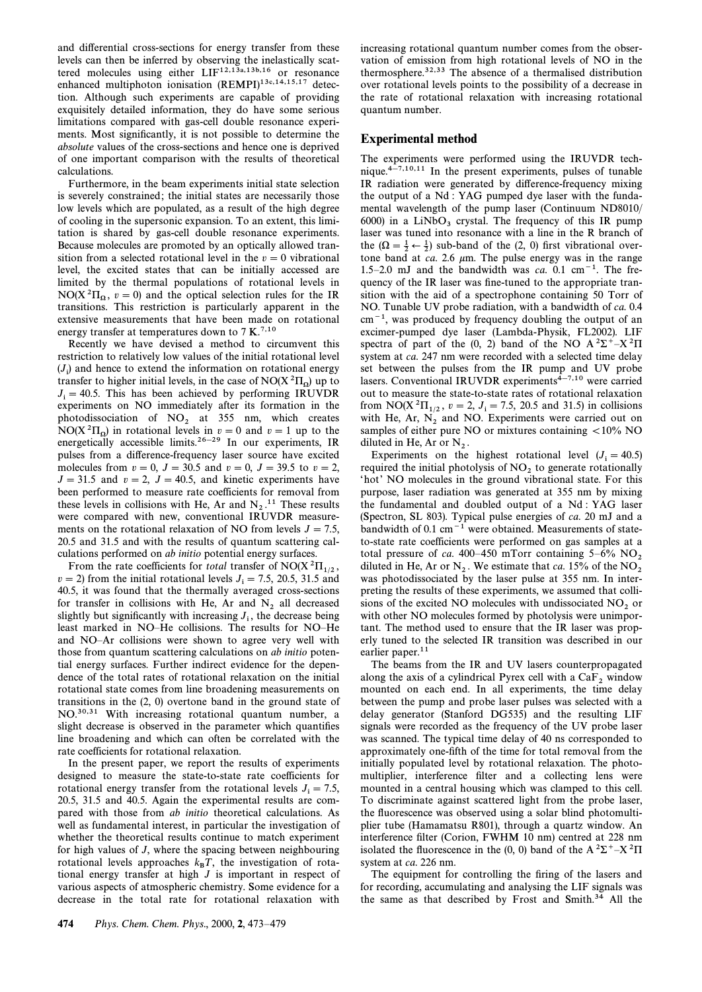and differential cross-sections for energy transfer from these levels can then be inferred by observing the inelastically scattered molecules using either  $LIF^{12,13a,13b,16}$  or resonance enhanced multiphoton ionisation (REMPI)<sup>13c,14,15,17</sup> detection. Although such experiments are capable of providing exquisitely detailed information, they do have some serious limitations compared with gas-cell double resonance experiments. Most significantly, it is not possible to determine the absolute values of the cross-sections and hence one is deprived of one important comparison with the results of theoretical calculations.

Furthermore, in the beam experiments initial state selection is severely constrained; the initial states are necessarily those low levels which are populated, as a result of the high degree of cooling in the supersonic expansion. To an extent, this limitation is shared by gas-cell double resonance experiments. Because molecules are promoted by an optically allowed transition from a selected rotational level in the  $v=0$  vibrational level, the excited states that can be initially accessed are limited by the thermal populations of rotational levels in  $NO(X^{2}\Pi_{\Omega}, v=0)$  and the optical selection rules for the IR transitions. This restriction is particularly apparent in the extensive measurements that have been made on rotational energy transfer at temperatures down to  $7 K<sup>7,10</sup>$ 

Recently we have devised a method to circumvent this restriction to relatively low values of the initial rotational level  $(J_i)$  and hence to extend the information on rotational energy<br>transfer to higher initial layels in the case of NO( $X^2H$ ) un to transfer to higher initial levels, in the case of NO( $X^2\Pi_{\Omega}$ ) up to  $I = 40.5$ . This has been achieved by performing IPHVOP  $J_i = 40.5$ . This has been achieved by performing IRUVDR experiments on NO immediately often its formation in the experiments on NO immediately after its formation in the photodissociation of NO<sub>2</sub> at 355 nm, which creates NO(X<sup>2</sup> $\Pi_{\Omega}$ ) in rotational levels in  $v=0$  and  $v=1$  up to the energy distributional levels in  $v=0$  and  $v=1$  up to the energetically accessible limits.<sup>26–29</sup> In our experiments, IR pulses from a difference-frequency laser source have excited molecules from  $v = 0$ ,  $J = 30.5$  and  $v = 0$ ,  $J = 39.5$  to  $v = 2$ ,  $J = 31.5$  and  $v = 2$ ,  $J = 40.5$ , and kinetic experiments have been performed to measure rate coefficients for removal from these levels in collisions with He, Ar and  $N_2$ .<sup>11</sup> These results were compared with new, conventional IRUVDR measurements on the rotational relaxation of NO from levels  $J = 7.5$ , 20.5 and 31.5 and with the results of quantum scattering calculations performed on ab initio potential energy surfaces.

From the rate coefficients for total transfer of NO(X ${}^{2}\Pi_{1/2}$ ,  $v = 2$ ) from the initial rotational levels  $J<sub>i</sub> = 7.5, 20.5, 31.5$  and  $\mu = 2$ ; it was found that the thermally averaged cross-sections for transfer in collisions with He, Ar and  $N_2$  all decreased slightly but significantly with increasing  $J_1$ , the decrease being least marked in NO–He collisions. The results for NO–He and NO-Ar collisions were shown to agree very well with those from quantum scattering calculations on ab initio potential energy surfaces. Further indirect evidence for the dependence of the total rates of rotational relaxation on the initial rotational state comes from line broadening measurements on transitions in the (2, 0) overtone band in the ground state of NO.30,31 With increasing rotational quantum number, a slight decrease is observed in the parameter which quantifies line broadening and which can often be correlated with the rate coefficients for rotational relaxation.

In the present paper, we report the results of experiments designed to measure the state-to-state rate coefficients for rotational energy transfer from the rotational levels  $J_i = 7.5$ , 20.5, 31.5 and 40.5. Again the experimental results are compared with those from ab initio theoretical calculations. As well as fundamental interest, in particular the investigation of whether the theoretical results continue to match experiment for high values of J, where the spacing between neighbouring rotational levels approaches  $k_B T$ , the investigation of rotational energy transfer at high  $J$  is important in respect of various aspects of atmospheric chemistry. Some evidence for a decrease in the total rate for rotational relaxation with

increasing rotational quantum number comes from the observation of emission from high rotational levels of NO in the thermosphere.32,33 The absence of a thermalised distribution over rotational levels points to the possibility of a decrease in the rate of rotational relaxation with increasing rotational quantum number.

### Experimental method

The experiments were performed using the IRUVDR technique. $4\frac{1}{2}$ ,10,11 In the present experiments, pulses of tunable IR radiation were generated by difference-frequency mixing the output of a Nd : YAG pumped dye laser with the fundamental wavelength of the pump laser (Continuum ND8010/ 6000) in a  $LiNbO<sub>3</sub>$  crystal. The frequency of this IR pump laser was tuned into resonance with a line in the R branch of the  $(\Omega = \frac{1}{2} \leftarrow \frac{1}{2})$  sub-band of the (2, 0) first vibrational over-<br>tope hand at as 2.6 um. The pulse energy was in the range tone band at ca. 2.6  $\mu$ m. The pulse energy was in the range 1.5–2.0 mJ and the bandwidth was ca. 0.1 cm<sup>-1</sup>. The frequency of the IR laser was fine-tuned to the appropriate transition with the aid of a spectrophone containing 50 Torr of NO. Tunable UV probe radiation, with a bandwidth of ca. 0.4  $cm<sup>-1</sup>$ , was produced by frequency doubling the output of an excimer-pumped dye laser (Lambda-Physik, FL2002). LIF spectra of part of the (0, 2) band of the NO  $A^2\Sigma^+ - X^2\Pi$ system at ca. 247 nm were recorded with a selected time delay set between the pulses from the IR pump and UV probe lasers. Conventional IRUVDR experiments<sup>4-7,10</sup> were carried out to measure the state-to-state rates of rotational relaxation from NO( $X^2\Pi_{1/2}$ ,  $v = 2$ ,  $J_i = 7.5$ , 20.5 and 31.5) in collisions with H<sub>2</sub>,  $\Lambda r$ , N<sub>2</sub> and NO<sub>.</sub> Experiments were carried out on with He, Ar,  $N_2$  and NO. Experiments were carried out on samples of either pure NO or mixtures containing  $\langle 10\% \text{ NO} \rangle$ diluted in He, Ar or  $N_2$ .<br>Experiments, on the

Experiments on the highest rotational level  $(J<sub>i</sub> = 40.5)$ required the initial photolysis of  $NO<sub>2</sub>$  to generate rotationally 'hot' NO molecules in the ground vibrational state. For this purpose, laser radiation was generated at 355 nm by mixing the fundamental and doubled output of a Nd : YAG laser (Spectron, SL 803). Typical pulse energies of ca. 20 mJ and a bandwidth of  $0.1 \text{ cm}^{-1}$  were obtained. Measurements of stateto-state rate coefficients were performed on gas samples at a total pressure of  $ca. 400-450$  mTorr containing  $5-6\%$  NO, diluted in He, Ar or N<sub>2</sub>. We estimate that *ca*. 15% of the NO<sub>2</sub> was photodissociated by the laser pulse at 355 nm. In interpreting the results of these experiments, we assumed that collisions of the excited NO molecules with undissociated  $NO<sub>2</sub>$  or with other NO molecules formed by photolysis were unimportant. The method used to ensure that the IR laser was properly tuned to the selected IR transition was described in our earlier paper.<sup>11</sup>

The beams from the IR and UV lasers counterpropagated along the axis of a cylindrical Pyrex cell with a  $CaF<sub>2</sub>$  window mounted on each end. In all experiments, the time delay between the pump and probe laser pulses was selected with a delay generator (Stanford DG535) and the resulting LIF signals were recorded as the frequency of the UV probe laser was scanned. The typical time delay of 40 ns corresponded to approximately one-fifth of the time for total removal from the initially populated level by rotational relaxation. The photomultiplier, interference filter and a collecting lens were mounted in a central housing which was clamped to this cell. To discriminate against scattered light from the probe laser, the fluorescence was observed using a solar blind photomultiplier tube (Hamamatsu R801), through a quartz window. An interference filter (Corion, FWHM 10 nm) centred at 228 nm isolated the fluorescence in the (0, 0) band of the  $A^2\Sigma^+$ –X $^2\Pi$ system at ca. 226 nm.

The equipment for controlling the firing of the lasers and for recording, accumulating and analysing the LIF signals was the same as that described by Frost and Smith.<sup>34</sup> All the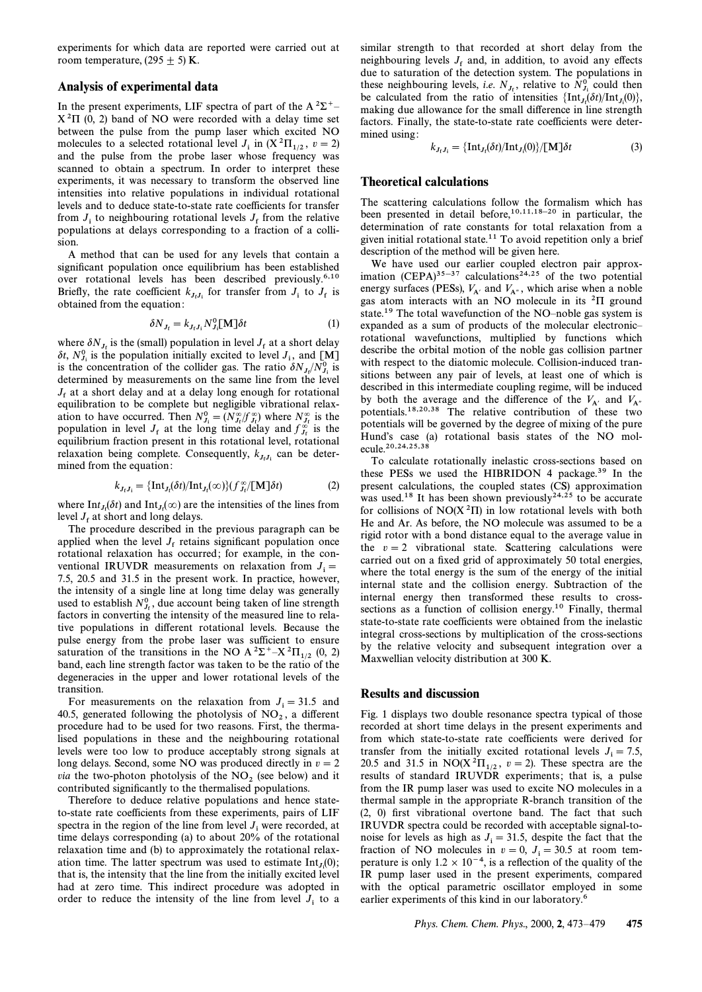experiments for which data are reported were carried out at room temperature, (295  $\pm$  5) K.

## Analysis of experimental data

In the present experiments, LIF spectra of part of the A<sup>2</sup> $\Sigma$ <sup>+</sup><sup> $-$ </sup>  $X<sup>2</sup>\Pi$  (0, 2) band of NO were recorded with a delay time set between the pulse from the pump laser which excited NO molecules to a selected rotational level  $J_i$  in  $(X^2 \Pi_{1/2}, v=2)$ and the pulse from the probe laser whose frequency was scanned to obtain a spectrum. In order to interpret these experiments, it was necessary to transform the observed line intensities into relative populations in individual rotational levels and to deduce state-to-state rate coefficients for transfer from  $J_i$  to neighbouring rotational levels  $J_f$  from the relative nonventions at delays corresponding to a fraction of a colli <sup>f</sup> populations at delays corresponding to a fraction of a collision.

A method that can be used for any levels that contain a significant population once equilibrium has been established over rotational levels has been described previously.6,10 Briefly, the rate coefficient  $k_{J_fJ_i}$  for transfer from  $J_i$  to  $J_f$  is obtained from the equation: obtained from the equation:

$$
\delta N_{J_{\rm f}} = k_{J_{\rm f}J_{\rm i}} N_{J_{\rm i}}^0 \mathrm{[M]} \delta t \tag{1}
$$

where  $\delta N_{J_f}$  is the (small) population in level  $J_f$  at a short delay where  $\sigma_{1f_1}$  is the population initially excited to level  $J_1$ , and  $[M]$ <br>is the population initially excited to level  $J_1$ , and  $[M]$  is is the concentration of the collider gas. The ratio  $\delta N_f/N_f^0$  is<br>determined by measurements on the collider gas. The ratio  $\delta N_f/N_f^0$  is determined by measurements on the same line from the level  $J<sub>f</sub>$  at a short delay and at a delay long enough for rotational equilibration to be complete but negligible vibrational relaxation to have occurred. Then  $N_{J_1}^0 = (N_{J_1}^{\infty}/f_{J_1}^{\infty})$  where  $N_{J_1}^{\infty}$  is the nonvention in lovel L at the long time delay and  $f_{J_1}^{\infty}$  is the population in level  $J_f$  at the long time delay and  $f_{J_f}^{\infty}$  is the conjunction fraction present in this retational level retational equilibrium fraction present in this rotational level, rotational relaxation being complete. Consequently,  $k_{J_tJ_t}$  can be determined from the equation:

$$
k_{J_fJ_i} = {\ln t_{J_f}(\delta t)/\ln t_{J_f}(\infty)}(f_{J_f}^{\infty}/[M]\delta t)
$$
 (2)

where  $\text{Int}_{J_f}(\delta t)$  and  $\text{Int}_{J_f}(\infty)$  are the intensities of the lines from layel I at short and long delays where  $\lim_{f_t \in \mathcal{F}} f_t(t)$  and  $\lim_{f_t \in \mathcal{F}} f_t$  are  $\frac{1}{2}$ 

The procedure described in the previous paragraph can be applied when the level  $J<sub>f</sub>$  retains significant population once rotational relaxation has occurred; for example, in the conventional IRUVDR measurements on relaxation from  $J_i =$ 7.5, 20.5 and 31.5 in the present work. In practice, however, the intensity of a single line at long time delay was generally used to establish  $N_{J_f}^0$ , due account being taken of line strength  $\frac{1}{2}$ factors in converting the intensity of the measured line to relative populations in different rotational levels. Because the pulse energy from the probe laser was sufficient to ensure saturation of the transitions in the NO A <sup>2</sup> $\Sigma$ <sup>+</sup>-X<sup>2</sup> $\Pi_{1/2}$  (0, 2) band, each line strength factor was taken to be the ratio of the degeneracies in the upper and lower rotational levels of the transition.

For measurements on the relaxation from  $J_i = 31.5$  and 40.5, generated following the photolysis of NO<sub>2</sub>, a different<br>negative photolysis of NO<sub>2</sub>, a different<br>negative head to be used for two researces First, the therma procedure had to be used for two reasons. First, the thermalised populations in these and the neighbouring rotational levels were too low to produce acceptably strong signals at long delays. Second, some NO was produced directly in  $v = 2$ *via* the two-photon photolysis of the  $NO<sub>2</sub>$  (see below) and it contributed significantly to the thermalised populations.

Therefore to deduce relative populations and hence stateto-state rate coefficients from these experiments, pairs of LIF spectra in the region of the line from level  $J_i$  were recorded, at time delays corresponding (a) to about  $20\%$  of the rotational relaxation time and (b) to approximately the rotational relaxation time. The latter spectrum was used to estimate  $Int_{J_i}(0)$ ;<br>that is the intensity that the line from the initially excited level that is, the intensity that the line from the initially excited level had at zero time. This indirect procedure was adopted in order to reduce the intensity of the line from level  $J_i$  to a

similar strength to that recorded at short delay from the neighbouring levels  $J_f$  and, in addition, to avoid any effects due to saturation of the detection system. The populations in these neighbouring levels, *i.e.*  $N_{J_i}$ , relative to  $N_{J_i}^0$  could then he coloulated from the ratio of intensities (Int.  $(St)/Int(0)$ ) be calculated from the ratio of intensities  $\{\text{Int}_{J_i}(\delta t)/\text{Int}_{J_i}(0)\}$ ,<br>making due allowance for the small difference in line strength making due allowance for the small difference in line strength factors. Finally, the state-to-state rate coefficients were determined using :

$$
k_{J_fJ_i} = {\ln t_{J_f}(\delta t)/\ln t_{J_i}(0)}/[M]\delta t \tag{3}
$$

### Theoretical calculations

The scattering calculations follow the formalism which has been presented in detail before,<sup>10,11,18-20</sup> in particular, the determination of rate constants for total relaxation from a given initial rotational state.<sup>11</sup> To avoid repetition only a brief description of the method will be given here.

We have used our earlier coupled electron pair approximation  $(CEPA)^{35-37}$  calculations<sup>24,25</sup> of the two potential energy surfaces (PESs),  $V_{A'}$  and  $V_{A''}$ , which arise when a noble  $\cos$  atom interacts with an NO molecula in its <sup>2</sup>H ground gas atom interacts with an NO molecule in its  ${}^{2}$  $\Pi$  ground state.<sup>19</sup> The total wavefunction of the NO-noble gas system is expanded as a sum of products of the molecular electronicrotational wavefunctions, multiplied by functions which describe the orbital motion of the noble gas collision partner with respect to the diatomic molecule. Collision-induced transitions between any pair of levels, at least one of which is described in this intermediate coupling regime, will be induced by both the average and the difference of the  $V_A$  and  $V_{A''}$  potentials.<sup>18,20,38</sup> The relative contribution of these two potentials will be governed by the degree of mixing of the pure Hund's case (a) rotational basis states of the NO molecule.20,24,25,38

To calculate rotationally inelastic cross-sections based on these PESs we used the HIBRIDON 4 package.<sup>39</sup> In the present calculations, the coupled states (CS) approximation was used.<sup>18</sup> It has been shown previously $2^{4,25}$  to be accurate for collisions of  $NO(X<sup>2</sup>II)$  in low rotational levels with both He and Ar. As before, the NO molecule was assumed to be a rigid rotor with a bond distance equal to the average value in the  $v = 2$  vibrational state. Scattering calculations were carried out on a fixed grid of approximately 50 total energies, where the total energy is the sum of the energy of the initial internal state and the collision energy. Subtraction of the internal energy then transformed these results to crosssections as a function of collision energy.<sup>10</sup> Finally, thermal state-to-state rate coefficients were obtained from the inelastic integral cross-sections by multiplication of the cross-sections by the relative velocity and subsequent integration over a Maxwellian velocity distribution at 300 K.

## Results and discussion

Fig. 1 displays two double resonance spectra typical of those recorded at short time delays in the present experiments and from which state-to-state rate coefficients were derived for transfer from the initially excited rotational levels  $J_i = 7.5$ ,  $20.5$  and 31.5 in NO(X<sup>2</sup> $\Pi_{1/2}$ ,  $v = 2$ ). These spectra are the 1.0, results of standard IBIIVDP, expectra are the i.e. a pulse results of standard IRUVDR experiments; that is, a pulse from the IR pump laser was used to excite NO molecules in a thermal sample in the appropriate R-branch transition of the (2, 0) first vibrational overtone band. The fact that such IRUVDR spectra could be recorded with acceptable signal-tonoise for levels as high as  $J_i = 31.5$ , despite the fact that the fraction of NO molecules in  $v = 0$ ,  $J<sub>i</sub> = 30.5$  at room temperature is only  $1.2 \times 10^{-4}$ , is a reflection of the quality of the IR pump laser used in the present experiments, compared with the optical parametric oscillator employed in some earlier experiments of this kind in our laboratory.<sup>6</sup>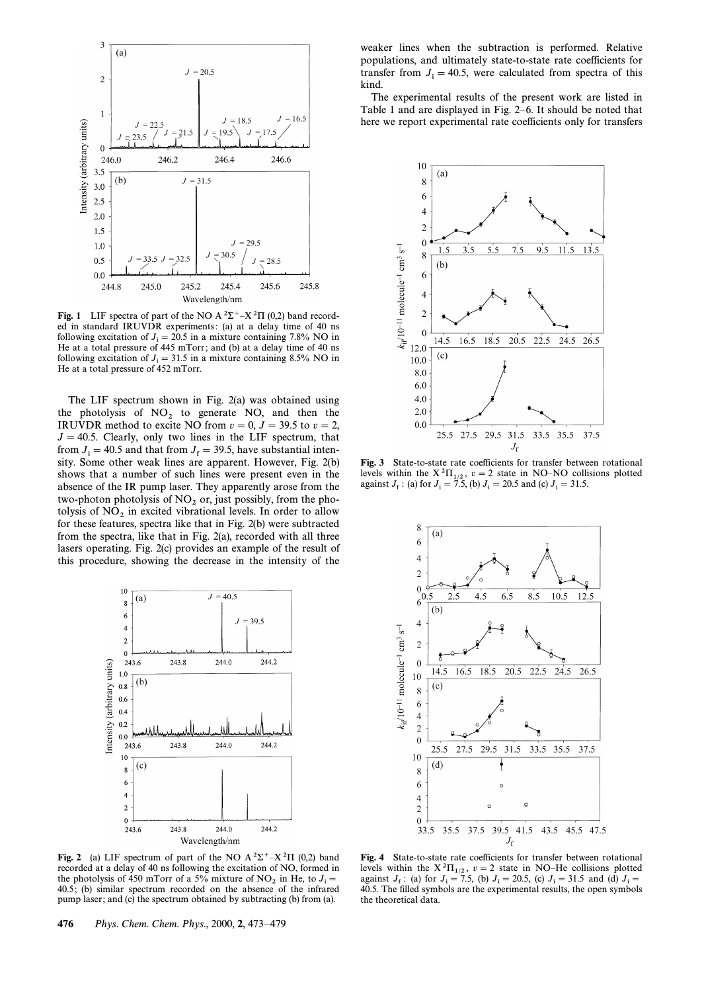

Fig. 1 LIF spectra of part of the NO A  ${}^{2}\Sigma^{+}-X {}^{2}\Pi$  (0,2) band recorded in standard IRUVDR experiments: (a) at a delay time of 40 ns following excitation of  $J_i = 20.5$  in a mixture containing 7.8% NO in He at a total pressure of  $445$  mTorr; and (b) at a delay time of 40 ns following excitation of  $J_i = 31.5$  in a mixture containing 8.5% NO in He at a total pressure of  $452$  mTorr.

The LIF spectrum shown in Fig. 2(a) was obtained using the photolysis of NO<sub>2</sub> to generate NO, and then the IRUVDR method to excite NO from  $v = 0$ ,  $J = 39.5$  to  $v = 2$ ,  $J = 40.5$ . Clearly, only two lines in the LIF spectrum, that from  $J_i = 40.5$  and that from  $J_f = 39.5$ , have substantial inten- $\lim_{t \to \infty} \frac{1}{t} = \frac{1}{100}$  and that from  $v_f = 39.3$ , have substantial filter shows that a number of such lines were present even in the absence of the IR pump laser. They apparently arose from the two-photon photolysis of  $NO<sub>2</sub>$  or, just possibly, from the photolysis of  $NO<sub>2</sub>$  in excited vibrational levels. In order to allow for these features, spectra like that in Fig. 2(b) were subtracted from the spectra, like that in Fig. 2(a), recorded with all three lasers operating. Fig. 2(c) provides an example of the result of this procedure, showing the decrease in the intensity of the



Fig. 2 (a) LIF spectrum of part of the NO A  ${}^{2}\Sigma^{+}-X {}^{2}\Pi$  (0,2) band recorded at a delay of 40 ns following the excitation of NO, formed in the photolysis of 450 mTorr of a 5% mixture of NO<sub>2</sub> in He, to  $J_i =$ <br>40.5; (b) similar spectrum recorded on the absence of the infrarec-40.5; (b) similar spectrum recorded on the absence of the infrared pump laser ; and (c) the spectrum obtained by subtracting (b) from (a).

weaker lines when the subtraction is performed. Relative populations, and ultimately state-to-state rate coefficients for transfer from  $J_i = 40.5$ , were calculated from spectra of this lind kind.

The experimental results of the present work are listed in Table 1 and are displayed in Fig.  $2-6$ . It should be noted that here we report experimental rate coefficients only for transfers



Fig. 3 State-to-state rate coefficients for transfer between rotational levels within the  $X^2\Pi_{1/2}$ ,  $v=2$  state in NO–NO collisions plotted against  $J_f$ : (a) for  $J_i = 7.5$ , (b)  $J_i = 20.5$  and (c)  $J_i = 31.5$ .



Fig. 4 State-to-state rate coefficients for transfer between rotational levels within the  $X^2\Pi_{1/2}$ ,  $v = 2$  state in NO–He collisions plotted against  $J_f$ : (a) for  $J_i = 7.5$ , (b)  $J_i = 20.5$ , (c)  $J_i = 31.5$  and (d)  $J_i =$ 40.5. The filled symbols are the experimental results, the open symbols the theoretical data.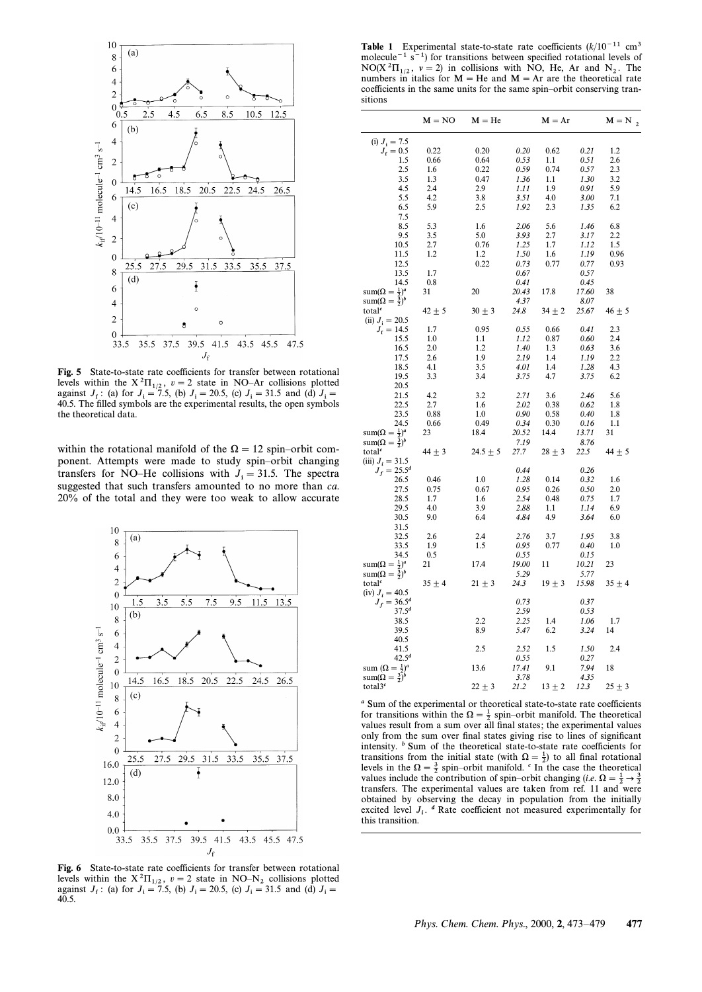

Fig. 5 State-to-state rate coefficients for transfer between rotational levels within the  $X^2\Pi_{1/2}$ ,  $v = 2$  state in NO-Ar collisions plotted against  $J_f$ : (a) for  $J_i = 7.5$ , (b)  $J_i = 20.5$ , (c)  $J_i = 31.5$  and (d)  $J_i =$ 40.5. The filled symbols are the experimental results, the open symbols the theoretical data.

within the rotational manifold of the  $\Omega = 12$  spin–orbit component. Attempts were made to study spin-orbit changing transfers for NO–He collisions with  $J_i = 31.5$ . The spectra suggested that such transfers amounted to no more than *ca*. 20% of the total and they were too weak to allow accurate



Fig. 6 State-to-state rate coefficients for transfer between rotational levels within the  $X^2\Pi_{1/2}$ ,  $v = 2$  state in NO–N<sub>2</sub> collisions plotted against  $J_f$ : (a) for  $J_i = 7.5$ , (b)  $J_i = 20.5$ , (c)  $J_i = 31.5$  and (d)  $J_i = 40.5$ 40.5.

**Table 1** Experimental state-to-state rate coefficients  $(k/10^{-11} \text{ cm}^3)$ molecule<sup> $-1$ </sup> s<sup> $-1$ </sup>) for transitions between specified rotational levels of NO(X<sup>2</sup> $\Pi_{1/2}$ ,  $\nu = 2$ ) in collisions with NO, He, Ar and N<sub>2</sub>. The numbers in italics for M – He and M – Ar are the theoretical rate numbers in italics for  $M = He$  and  $M = Ar$  are the theoretical rate coefficients in the same units for the same spin-orbit conserving transitions

|                                | $M = NO$   | $M = He$     |       | $M = Ar$   |       | $M = N_{2}$ |
|--------------------------------|------------|--------------|-------|------------|-------|-------------|
| (i) $J_i = 7.5$                |            |              |       |            |       |             |
|                                |            |              |       |            |       | 1.2         |
| $J_{\rm f} = 0.5$              | 0.22       | 0.20         | 0.20  | 0.62       | 0.21  |             |
| 1.5                            | 0.66       | 0.64         | 0.53  | 1.1        | 0.51  | 2.6         |
| 2.5                            | 1.6        | 0.22         | 0.59  | 0.74       | 0.57  | 2.3         |
| 3.5                            | 1.3        | 0.47         | 1.36  | 1.1        | 1.30  | 3.2         |
| 4.5                            | 2.4        | 2.9          | 1.11  | 1.9        | 0.91  | 5.9         |
| 5.5                            | 4.2        | 3.8          | 3.51  | 4.0        | 3.00  | 7.1         |
| 6.5                            | 5.9        | 2.5          | 1.92  | 2.3        | 1.35  | 6.2         |
| 7.5                            |            |              |       |            |       |             |
| 8.5                            | 5.3        | 1.6          | 2.06  | 5.6        | 1.46  | 6.8         |
| 9.5                            | 3.5        | 5.0          | 3.93  | 2.7        | 3.17  | 2.2         |
| 10.5                           | 2.7        | 0.76         | 1.25  | 1.7        | 1.12  | 1.5         |
|                                |            |              |       |            |       |             |
| 11.5                           | 1.2        | 1.2          | 1.50  | 1.6        | 1.19  | 0.96        |
| 12.5                           |            | 0.22         | 0.73  | 0.77       | 0.77  | 0.93        |
| 13.5                           | 1.7        |              | 0.67  |            | 0.57  |             |
| 14.5                           | 0.8        |              | 0.41  |            | 0.45  |             |
| $sum(\Omega = \frac{1}{2})^a$  | 31         | 20           | 20.43 | 17.8       | 17.60 | 38          |
| $sum(\Omega = \frac{3}{2})^b$  |            |              | 4.37  |            | 8.07  |             |
| total <sup>c</sup>             | $42 \pm 5$ | $30 \pm 3$   | 24.8  | $34 \pm 2$ | 25.67 | $46 \pm 5$  |
|                                |            |              |       |            |       |             |
| (ii) $J_i = 20.5$              |            |              |       |            |       |             |
| $J_{\rm f} = 14.5$             | 1.7        | 0.95         | 0.55  | 0.66       | 0.41  | 2.3         |
| 15.5                           | 1.0        | 1.1          | 1.12  | 0.87       | 0.60  | 2.4         |
| 16.5                           | 2.0        | 1.2          | 1.40  | 1.3        | 0.63  | 3.6         |
| 17.5                           | 2.6        | 1.9          | 2.19  | 1.4        | 1.19  | 2.2         |
| 18.5                           | 4.1        | 3.5          | 4.01  | 1.4        | 1.28  | 4.3         |
| 19.5                           | 3.3        | 3.4          | 3.75  | 4.7        | 3.75  | 6.2         |
| 20.5                           |            |              |       |            |       |             |
| 21.5                           | 4.2        | 3.2          | 2.71  | 3.6        | 2.46  | 5.6         |
|                                |            |              |       |            |       |             |
| 22.5                           | 2.7        | 1.6          | 2.02  | 0.38       | 0.62  | 1.8         |
| 23.5                           | 0.88       | 1.0          | 0.90  | 0.58       | 0.40  | 1.8         |
| 24.5                           | 0.66       | 0.49         | 0.34  | 0.30       | 0.16  | 1.1         |
| $sum(\Omega = \frac{1}{2})^a$  | 23         | 18.4         | 20.52 | 14.4       | 13.71 | 31          |
| $sum(\Omega = \frac{3}{2})^b$  |            |              | 7.19  |            | 8.76  |             |
| total <sup>c</sup>             | $44 \pm 3$ | $24.5 \pm 5$ | 27.7  | $28 \pm 3$ | 22.5  | $44 \pm 5$  |
| (iii) $J_i = 31.5$             |            |              |       |            |       |             |
| $J_f = 25.5^d$                 |            |              | 0.44  |            | 0.26  |             |
| 26.5                           | 0.46       | 1.0          | 1.28  | 0.14       | 0.32  | 1.6         |
|                                |            |              |       |            |       |             |
| 27.5                           | 0.75       | 0.67         | 0.95  | 0.26       | 0.50  | 2.0         |
| 28.5                           | 1.7        | 1.6          | 2.54  | 0.48       | 0.75  | 1.7         |
| 29.5                           | 4.0        | 3.9          | 2.88  | 1.1        | 1.14  | 6.9         |
| 30.5                           | 9.0        | 6.4          | 4.84  | 4.9        | 3.64  | 6.0         |
| 31.5                           |            |              |       |            |       |             |
| 32.5                           | 2.6        | 2.4          | 2.76  | 3.7        | 1.95  | 3.8         |
| 33.5                           | 1.9        | 1.5          | 0.95  | 0.77       | 0.40  | 1.0         |
| 34.5                           | 0.5        |              | 0.55  |            | 0.15  |             |
| $sum(\Omega = \frac{1}{2})^a$  | 21         | 17.4         | 19.00 | 11         | 10.21 | 23          |
| $sum(\Omega = \frac{3}{2})^b$  |            |              | 5.29  |            | 5.77  |             |
|                                |            |              |       |            |       |             |
| total <sup>c</sup>             | $35 \pm 4$ | $21 \pm 3$   | 24.3  | $19 \pm 3$ | 15.98 | $35 \pm 4$  |
| (iv) $J_i = 40.5$              |            |              |       |            |       |             |
| $J_f = 36.5^d$                 |            |              | 0.73  |            | 0.37  |             |
| $37.5^{d}$                     |            |              | 2.59  |            | 0.53  |             |
| 38.5                           |            | 2.2          | 2.25  | 1.4        | 1.06  | 1.7         |
| 39.5                           |            | 8.9          | 5.47  | 6.2        | 3.24  | 14          |
| 40.5                           |            |              |       |            |       |             |
| 41.5                           |            | 2.5          | 2.52  | 1.5        | 1.50  | 2.4         |
| $42.5^{d}$                     |            |              | 0.55  |            | 0.27  |             |
|                                |            | 13.6         | 17.41 |            |       | 18          |
| sum $(\Omega = \frac{1}{2})^a$ |            |              |       | 9.1        | 7.94  |             |
| $sum(\Omega = \frac{3}{2})^b$  |            |              | 3.78  |            | 4.35  |             |
| total3 <sup>c</sup>            |            | $22 \pm 3$   | 21.2  | $13 \pm 2$ | 12.3  | $25 \pm 3$  |

a Sum of the experimental or theoretical state-to-state rate coefficients for transitions within the  $\Omega = \frac{1}{2}$  spin-orbit manifold. The theoretical values result from a sum over all final states; the experimental values only from the sum over final states giving rise to lines of significant intensity.  $\frac{b}{c}$  Sum of the theoretical state-to-state rate coefficients for transitions from the initial state (with  $\Omega = \frac{1}{2}$ ) to all final rotational levels in the  $\Omega = \frac{3}{2}$  spin–orbit manifold. <sup>c</sup> In the case the theoretical levels in the  $\Omega = \frac{3}{2}$  spin-orbit manifold. <sup>c</sup> In the case the theoretical values include the contribution of spin–orbit changing (i.e.  $\Omega = \frac{1}{2} \rightarrow \frac{3}{2}$  transfers. The experimental values are taken from ref. 11 transfers. The experimental values are taken from ref. 11 and were obtained by observing the decay in population from the initially excited level  $J_i$ . <sup>*a*</sup> Rate coefficient not measured experimentally for this transition this transition.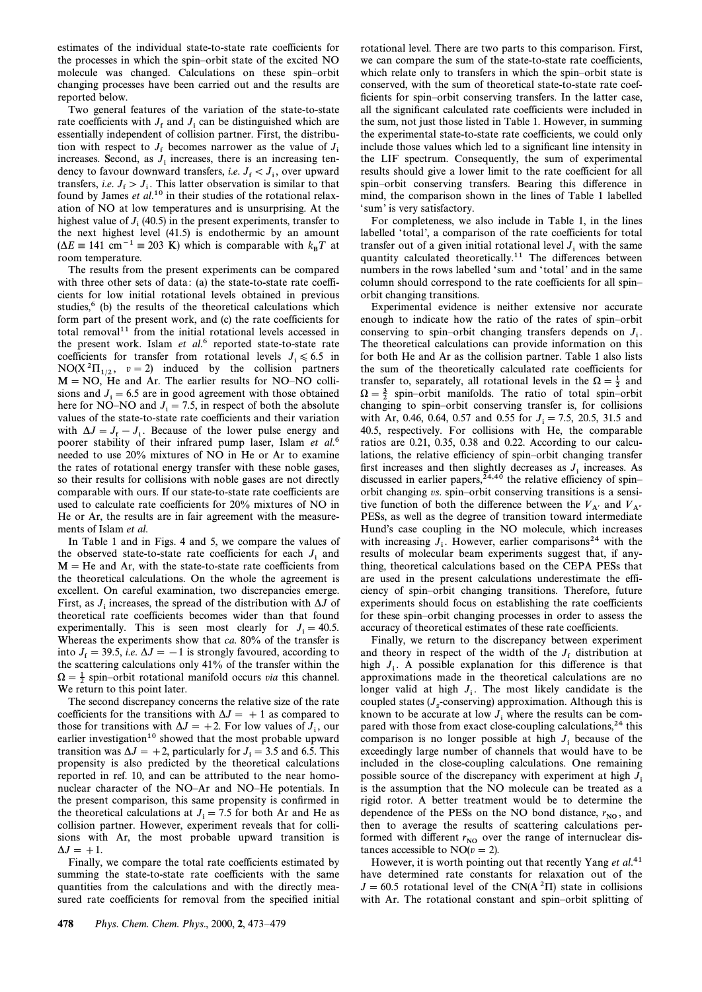estimates of the individual state-to-state rate coefficients for the processes in which the spin–orbit state of the excited NO molecule was changed. Calculations on these spin–orbit changing processes have been carried out and the results are reported below.

Two general features of the variation of the state-to-state rate coefficients with  $J_f$  and  $J_i$  can be distinguished which are assembly independent of collision partner. First, the distribution essentially independent of collision partner. First, the distribution with respect to  $J_f$  becomes narrower as the value of  $J_f$ <br>increases. Seen d as  $J_f$  increases, there is an increasing ten increases. Second, as  $J_i$  increases, there is an increasing tendency to favour downward transfers, *i.e.*  $J_f < J_i$ , over upward transfers, *i.e.*  $J_f > J_i$ . This latter observation is similar to that found by James *et al.*<sup>10</sup> in their studies of the rotational relaxation of NO at low temperatures and is unsurprising. At the highest value of  $J_i$  (40.5) in the present experiments, transfer to the next highest level  $(41.5)$  is endothermic by an amount  $(\Delta E \equiv 141 \text{ cm}^{-1} \equiv 203 \text{ K})$  which is comparable with  $k_B T$  at recomparature. room temperature.

The results from the present experiments can be compared with three other sets of data: (a) the state-to-state rate coefficients for low initial rotational levels obtained in previous studies, $6$  (b) the results of the theoretical calculations which form part of the present work, and (c) the rate coefficients for total removal<sup>11</sup> from the initial rotational levels accessed in the present work. Islam  $et$   $al$ <sup>6</sup> reported state-to-state rate coefficients for transfer from rotational levels  $J_i \leq 6.5$  in NO(X<sup>2</sup>H<sub>1/2</sub>,  $v = 2$ ) induced by the collision partners  $\sqrt{N}$  NO(X<sup>2</sup>H<sub>1</sub>),  $v = 2$ ) induced by the collision partners  $M = NO$ , He and Ar. The earlier results for NO–NO collisions and  $J_i = 6.5$  are in good agreement with those obtained here for NO–NO and  $J_i = 7.5$ , in respect of both the absolute values of the state-to-state rate coefficients and their variation with  $\Delta J = J_f - J_i$ . Because of the lower pulse energy and poorer stability of their infrared pump laser, Islam et  $al$ <sup>6</sup>. needed to use 20% mixtures of NO in He or Ar to examine the rates of rotational energy transfer with these noble gases, so their results for collisions with noble gases are not directly comparable with ours. If our state-to-state rate coefficients are used to calculate rate coefficients for 20% mixtures of NO in He or Ar, the results are in fair agreement with the measurements of Islam et al.

In Table 1 and in Figs. 4 and 5, we compare the values of the observed state-to-state rate coefficients for each  $J_i$  and  $M = He$  and Ar, with the state-to-state rate coefficients from the theoretical calculations. On the whole the agreement is excellent. On careful examination, two discrepancies emerge. First, as  $J_i$  increases, the spread of the distribution with  $\Delta J$  of theoretical rate coefficients becomes wider than that found experimentally. This is seen most clearly for  $J_i = 40.5$ . Whereas the experiments show that ca.  $80\%$  of the transfer is into  $J_f = 39.5$ , *i.e.*  $\Delta J = -1$  is strongly favoured, according to the securities exploring to  $J_1$ <sup>2</sup> of the transfer within the the scattering calculations only 41% of the transfer within the  $\Omega = \frac{1}{2}$  spin–orbit rotational manifold occurs *via* this channel. We return to this point later.

The second discrepancy concerns the relative size of the rate coefficients for the transitions with  $\Delta J = +1$  as compared to those for transitions with  $\Delta J = +2$ . For low values of  $J_i$ , our earlier investigation<sup>10</sup> showed that the most probable upward transition was  $\Delta J = +2$ , particularly for  $J_i = 3.5$  and 6.5. This propensity is also predicted by the theoretical calculations reported in ref. 10, and can be attributed to the near homonuclear character of the NO-Ar and NO-He potentials. In the present comparison, this same propensity is confirmed in the theoretical calculations at  $J_i = 7.5$  for both Ar and He as collision partner. However, experiment reveals that for collisions with Ar, the most probable upward transition is  $\Delta J = +1.$ 

Finally, we compare the total rate coefficients estimated by summing the state-to-state rate coefficients with the same quantities from the calculations and with the directly measured rate coefficients for removal from the specified initial

rotational level. There are two parts to this comparison. First, we can compare the sum of the state-to-state rate coefficients. which relate only to transfers in which the spin–orbit state is conserved, with the sum of theoretical state-to-state rate coefficients for spin–orbit conserving transfers. In the latter case, all the significant calculated rate coefficients were included in the sum, not just those listed in Table 1. However, in summing the experimental state-to-state rate coefficients, we could only include those values which led to a significant line intensity in the LIF spectrum. Consequently, the sum of experimental results should give a lower limit to the rate coefficient for all spin-orbit conserving transfers. Bearing this difference in mind, the comparison shown in the lines of Table 1 labelled ' sum' is very satisfactory.

For completeness, we also include in Table 1, in the lines labelled 'total', a comparison of the rate coefficients for total transfer out of a given initial rotational level  $J_i$  with the same quantity calculated theoretically.<sup>11</sup> The differences between numbers in the rows labelled 'sum and 'total' and in the same column should correspond to the rate coefficients for all spin– orbit changing transitions.

Experimental evidence is neither extensive nor accurate enough to indicate how the ratio of the rates of spin–orbit conserving to spin–orbit changing transfers depends on  $J_i$ . The theoretical calculations can provide information on this for both He and Ar as the collision partner. Table 1 also lists the sum of the theoretically calculated rate coefficients for transfer to, separately, all rotational levels in the  $\Omega = \frac{1}{2}$  and  $\Omega = \frac{3}{2}$  spin–orbit manifolds. The ratio of total spin–orbit changing to spin–orbit conserving transfer is, for collisions with Ar, 0.46, 0.64, 0.57 and 0.55 for  $J_i = 7.5$ , 20.5, 31.5 and 40.5, respectively. For collisions with He, the comparable ratios are 0.21, 0.35, 0.38 and 0.22. According to our calculations, the relative efficiency of spin-orbit changing transfer first increases and then slightly decreases as  $J_i$  increases. As discussed in earlier papers,<sup> $24,40$ </sup> the relative efficiency of spin– orbit changing vs. spin-orbit conserving transitions is a sensitive function of both the difference between the  $V_{A'}$  and  $V_{A''}$  PESs, as well as the degree of transition toward intermediate Hund's case coupling in the NO molecule, which increases with increasing  $J_i$ . However, earlier comparisons<sup>24</sup> with the results of molecular beam experiments expect that if any results of molecular beam experiments suggest that, if anything, theoretical calculations based on the CEPA PESs that are used in the present calculations underestimate the efficiency of spin-orbit changing transitions. Therefore, future experiments should focus on establishing the rate coefficients for these spin-orbit changing processes in order to assess the accuracy of theoretical estimates of these rate coefficients.

Finally, we return to the discrepancy between experiment and theory in respect of the width of the  $J_f$  distribution at high  $J_i$ . A possible explanation for this difference is that approximations made in the theoretical calculations are no longer valid at high  $J_i$ . The most likely candidate is the coupled states  $(J_z$ -conserving) approximation. Although this is known to be accurate at low  $J_i$  where the results can be compared with those from exact close-coupling calculations, $24$  this comparison is no longer possible at high  $J_i$  because of the exceedingly large number of channels that would have to be included in the close-coupling calculations. One remaining possible source of the discrepancy with experiment at high  $J_i$ is the assumption that the NO molecule can be treated as a rigid rotor. A better treatment would be to determine the dependence of the PESs on the NO bond distance,  $r_{NO}$ , and then to overage the results of contterior equalities per then to average the results of scattering calculations performed with different  $r_{\text{NO}}$  over the range of internuclear distances accessible to  $NO(v=2)$ .

However, it is worth pointing out that recently Yang  $et al.<sup>41</sup>$ have determined rate constants for relaxation out of the  $J = 60.5$  rotational level of the CN(A $^{2}$ H) state in collisions with Ar. The rotational constant and spin–orbit splitting of